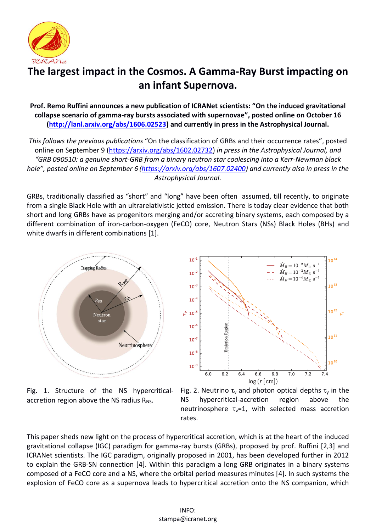

## **The largest impact in the Cosmos. A Gamma-Ray Burst impacting on an infant Supernova.**

**Prof. Remo Ruffini announces a new publication of ICRANet scientists: "On the induced gravitational collapse scenario of gamma-ray bursts associated with supernovae", posted online on October 16 [\(http://lanl.arxiv.org/abs/1606.02523\)](http://lanl.arxiv.org/abs/1606.02523) and currently in press in the Astrophysical Journal.**

*This follows the previous publications* "On the classification of GRBs and their occurrence rates", posted online on September 9 [\(https://arxiv.org/abs/1602.02732\)](https://arxiv.org/abs/1602.02732) *in press in the Astrophysical Journal, and "GRB 090510: a genuine short-GRB from a binary neutron star coalescing into a Kerr-Newman black hole", posted online on September 6 [\(https://arxiv.org/abs/1607.02400\)](https://arxiv.org/abs/1607.02400) and currently also in press in the Astrophysical Journal.*

GRBs, traditionally classified as "short" and "long" have been often assumed, till recently, to originate from a single Black Hole with an ultrarelativistic jetted emission. There is today clear evidence that both short and long GRBs have as progenitors merging and/or accreting binary systems, each composed by a different combination of iron-carbon-oxygen (FeCO) core, Neutron Stars (NSs) Black Holes (BHs) and white dwarfs in different combinations [1].



Fig. 1. Structure of the NS hypercriticalaccretion region above the NS radius  $R_{NS}$ .



Fig. 2. Neutrino  $\tau_{v}$  and photon optical depths  $\tau_{v}$  in the NS hypercritical-accretion region above the neutrinosphere  $\tau_v=1$ , with selected mass accretion rates.

This paper sheds new light on the process of hypercritical accretion, which is at the heart of the induced gravitational collapse (IGC) paradigm for gamma-ray bursts (GRBs), proposed by prof. Ruffini [2,3] and ICRANet scientists. The IGC paradigm, originally proposed in 2001, has been developed further in 2012 to explain the GRB-SN connection [4]. Within this paradigm a long GRB originates in a binary systems composed of a FeCO core and a NS, where the orbital period measures minutes [4]. In such systems the explosion of FeCO core as a supernova leads to hypercritical accretion onto the NS companion, which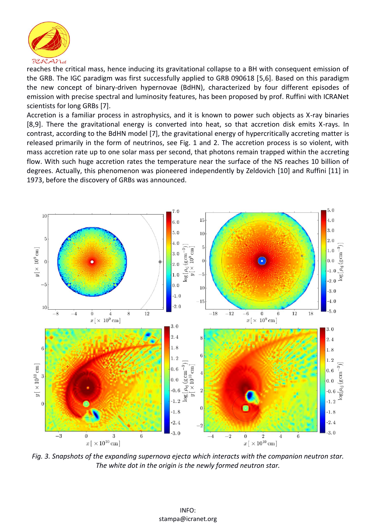

reaches the critical mass, hence inducing its gravitational collapse to a BH with consequent emission of the GRB. The IGC paradigm was first successfully applied to GRB 090618 [5,6]. Based on this paradigm the new concept of binary-driven hypernovae (BdHN), characterized by four different episodes of emission with precise spectral and luminosity features, has been proposed by prof. Ruffini with ICRANet scientists for long GRBs [7].

Accretion is a familiar process in astrophysics, and it is known to power such objects as X-ray binaries [8,9]. There the gravitational energy is converted into heat, so that accretion disk emits X-rays. In contrast, according to the BdHN model [7], the gravitational energy of hypercritically accreting matter is released primarily in the form of neutrinos, see Fig. 1 and 2. The accretion process is so violent, with mass accretion rate up to one solar mass per second, that photons remain trapped within the accreting flow. With such huge accretion rates the temperature near the surface of the NS reaches 10 billion of degrees. Actually, this phenomenon was pioneered independently by Zeldovich [10] and Ruffini [11] in 1973, before the discovery of GRBs was announced.



*Fig. 3. Snapshots of the expanding supernova ejecta which interacts with the companion neutron star. The white dot in the origin is the newly formed neutron star.*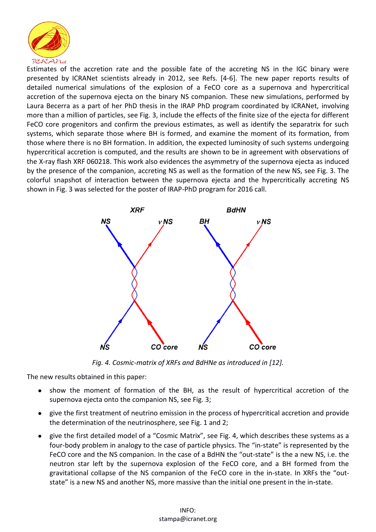

Estimates of the accretion rate and the possible fate of the accreting NS in the IGC binary were presented by ICRANet scientists already in 2012, see Refs. [4-6]. The new paper reports results of detailed numerical simulations of the explosion of a FeCO core as a supernova and hypercritical accretion of the supernova ejecta on the binary NS companion. These new simulations, performed by Laura Becerra as a part of her PhD thesis in the IRAP PhD program coordinated by ICRANet, involving more than a million of particles, see Fig. 3, include the effects of the finite size of the ejecta for different FeCO core progenitors and confirm the previous estimates, as well as identify the separatrix for such systems, which separate those where BH is formed, and examine the moment of its formation, from those where there is no BH formation. In addition, the expected luminosity of such systems undergoing hypercritical accretion is computed, and the results are shown to be in agreement with observations of the X-ray flash XRF 060218. This work also evidences the asymmetry of the supernova ejecta as induced by the presence of the companion, accreting NS as well as the formation of the new NS, see Fig. 3. The colorful snapshot of interaction between the supernova ejecta and the hypercritically accreting NS shown in Fig. 3 was selected for the poster of IRAP-PhD program for 2016 call.



*Fig. 4. Cosmic-matrix of XRFs and BdHNe as introduced in [12].*

The new results obtained in this paper:

- show the moment of formation of the BH, as the result of hypercritical accretion of the supernova ejecta onto the companion NS, see Fig. 3;
- give the first treatment of neutrino emission in the process of hypercritical accretion and provide  $\bullet$ the determination of the neutrinosphere, see Fig. 1 and 2;
- give the first detailed model of a "Cosmic Matrix", see Fig. 4, which describes these systems as a four-body problem in analogy to the case of particle physics. The "in-state" is represented by the FeCO core and the NS companion. In the case of a BdHN the "out-state" is the a new NS, i.e. the neutron star left by the supernova explosion of the FeCO core, and a BH formed from the gravitational collapse of the NS companion of the FeCO core in the in-state. In XRFs the "outstate" is a new NS and another NS, more massive than the initial one present in the in-state.